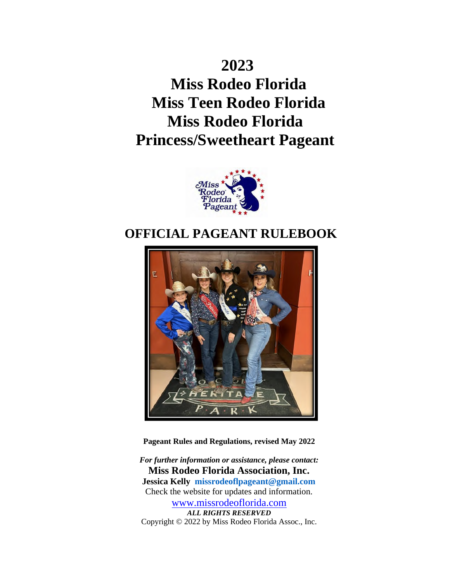# **2023 Miss Rodeo Florida Miss Teen Rodeo Florida Miss Rodeo Florida Princess/Sweetheart Pageant**



# **OFFICIAL PAGEANT RULEBOOK**



**Pageant Rules and Regulations, revised May 2022**

*For further information or assistance, please contact:* **Miss Rodeo Florida Association, Inc. Jessica Kelly missrodeoflpageant@gmail.com** Check the website for updates and information. www.missrodeoflorida.com *ALL RIGHTS RESERVED* Copyright © 2022 by Miss Rodeo Florida Assoc., Inc.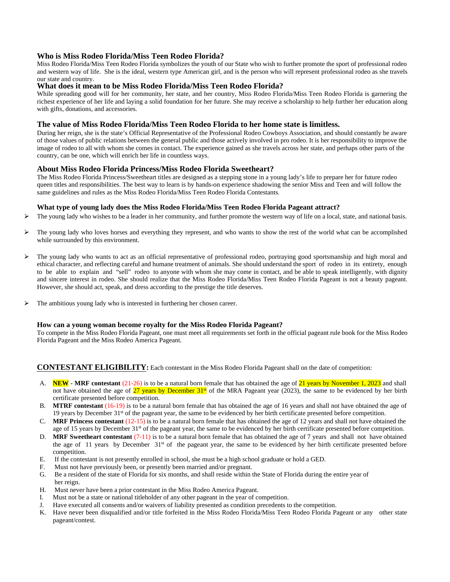#### **Who is Miss Rodeo Florida/Miss Teen Rodeo Florida?**

Miss Rodeo Florida/Miss Teen Rodeo Florida symbolizes the youth of our State who wish to further promote the sport of professional rodeo and western way of life. She is the ideal, western type American girl, and is the person who will represent professional rodeo as she travels our state and country.

#### **What does it mean to be Miss Rodeo Florida/Miss Teen Rodeo Florida?**

While spreading good will for her community, her state, and her country, Miss Rodeo Florida/Miss Teen Rodeo Florida is garnering the richest experience of her life and laying a solid foundation for her future. She may receive a scholarship to help further her education along with gifts, donations, and accessories.

#### **The value of Miss Rodeo Florida/Miss Teen Rodeo Florida to her home state is limitless.**

During her reign, she is the state's Official Representative of the Professional Rodeo Cowboys Association, and should constantly be aware of those values of public relations between the general public and those actively involved in pro rodeo. It is her responsibility to improve the image of rodeo to all with whom she comes in contact. The experience gained as she travels across her state, and perhaps other parts of the country, can be one, which will enrich her life in countless ways.

#### **About Miss Rodeo Florida Princess/Miss Rodeo Florida Sweetheart?**

The Miss Rodeo Florida Princess/Sweetheart titles are designed as a stepping stone in a young lady's life to prepare her for future rodeo queen titles and responsibilities. The best way to learn is by hands-on experience shadowing the senior Miss and Teen and will follow the same guidelines and rules as the Miss Rodeo Florida/Miss Teen Rodeo Florida Contestants.

#### **What type of young lady does the Miss Rodeo Florida/Miss Teen Rodeo Florida Pageant attract?**

- $\triangleright$  The young lady who wishes to be a leader in her community, and further promote the western way of life on a local, state, and national basis.
- $\triangleright$  The young lady who loves horses and everything they represent, and who wants to show the rest of the world what can be accomplished while surrounded by this environment.
- ⮚ The young lady who wants to act as an official representative of professional rodeo, portraying good sportsmanship and high moral and ethical character, and reflecting careful and humane treatment of animals. She should understand the sport of rodeo in its entirety, enough to be able to explain and "sell" rodeo to anyone with whom she may come in contact, and be able to speak intelligently, with dignity and sincere interest in rodeo. She should realize that the Miss Rodeo Florida/Miss Teen Rodeo Florida Pageant is not a beauty pageant. However, she should act, speak, and dress according to the prestige the title deserves.
- > The ambitious young lady who is interested in furthering her chosen career.

#### **How can a young woman become royalty for the Miss Rodeo Florida Pageant?**

To compete in the Miss Rodeo Florida Pageant, one must meet all requirements set forth in the official pageant rule book for the Miss Rodeo Florida Pageant and the Miss Rodeo America Pageant.

#### **CONTESTANT ELIGIBILITY:** Each contestant in the Miss Rodeo Florida Pageant shall on the date of competition:

- A. **NEW - MRF contestant** (21-26) is to be a natural born female that has obtained the age of 21 years by November 1, 2023 and shall not have obtained the age of  $27$  years by December 31st of the MRA Pageant year (2023), the same to be evidenced by her birth certificate presented before competition.
- B. **MTRF contestant** (16-19) is to be a natural born female that has obtained the age of 16 years and shall not have obtained the age of 19 years by December 31st of the pageant year, the same to be evidenced by her birth certificate presented before competition.
- C. **MRF Princess contestant** (12-15) is to be a natural born female that has obtained the age of 12 years and shall not have obtained the age of 15 years by December 31<sup>st</sup> of the pageant year, the same to be evidenced by her birth certificate presented before competition.
- D. **MRF Sweetheart contestant** (7-11) is to be a natural born female that has obtained the age of 7 years and shall not have obtained the age of 11 years by December  $31<sup>st</sup>$  of the pageant year, the same to be evidenced by her birth certificate presented before competition.
- E. If the contestant is not presently enrolled in school, she must be a high school graduate or hold a GED.
- F. Must not have previously been, or presently been married and/or pregnant.
- G. Be a resident of the state of Florida for six months, and shall reside within the State of Florida during the entire year of her reign.
- H. Must never have been a prior contestant in the Miss Rodeo America Pageant.
- I. Must not be a state or national titleholder of any other pageant in the year of competition.
- J. Have executed all consents and/or waivers of liability presented as condition precedents to the competition.
- K. Have never been disqualified and/or title forfeited in the Miss Rodeo Florida/Miss Teen Rodeo Florida Pageant or any other state pageant/contest.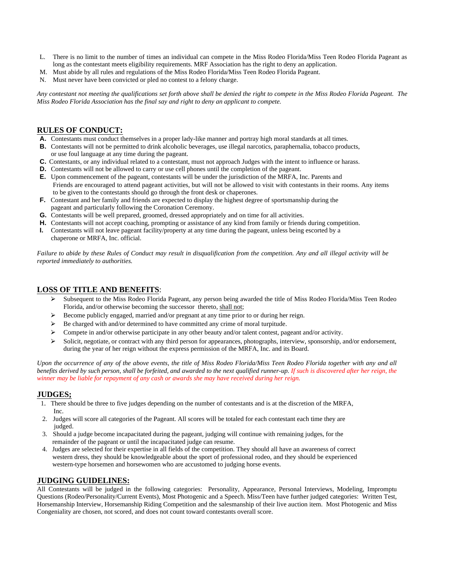- L. There is no limit to the number of times an individual can compete in the Miss Rodeo Florida/Miss Teen Rodeo Florida Pageant as long as the contestant meets eligibility requirements. MRF Association has the right to deny an application.
- M. Must abide by all rules and regulations of the Miss Rodeo Florida/Miss Teen Rodeo Florida Pageant.
- N. Must never have been convicted or pled no contest to a felony charge.

*Any contestant not meeting the qualifications set forth above shall be denied the right to compete in the Miss Rodeo Florida Pageant. The Miss Rodeo Florida Association has the final say and right to deny an applicant to compete.*

#### **RULES OF CONDUCT:**

- **A.** Contestants must conduct themselves in a proper lady-like manner and portray high moral standards at all times.
- **B.** Contestants will not be permitted to drink alcoholic beverages, use illegal narcotics, paraphernalia, tobacco products, or use foul language at any time during the pageant.
- **C.** Contestants, or any individual related to a contestant, must not approach Judges with the intent to influence or harass.
- **D.** Contestants will not be allowed to carry or use cell phones until the completion of the pageant.
- **E.** Upon commencement of the pageant, contestants will be under the jurisdiction of the MRFA, Inc. Parents and Friends are encouraged to attend pageant activities, but will not be allowed to visit with contestants in their rooms. Any items to be given to the contestants should go through the front desk or chaperones.
- **F.** Contestant and her family and friends are expected to display the highest degree of sportsmanship during the pageant and particularly following the Coronation Ceremony.
- **G.** Contestants will be well prepared, groomed, dressed appropriately and on time for all activities.
- **H.** Contestants will not accept coaching, prompting or assistance of any kind from family or friends during competition.
- **I.** Contestants will not leave pageant facility/property at any time during the pageant, unless being escorted by a chaperone or MRFA, Inc. official.

*Failure to abide by these Rules of Conduct may result in disqualification from the competition. Any and all illegal activity will be reported immediately to authorities.*

#### **LOSS OF TITLE AND BENEFITS**:

- ⮚ Subsequent to the Miss Rodeo Florida Pageant, any person being awarded the title of Miss Rodeo Florida/Miss Teen Rodeo Florida, and/or otherwise becoming the successor thereto, shall not;
- ⮚ Become publicly engaged, married and/or pregnant at any time prior to or during her reign.
- $\triangleright$  Be charged with and/or determined to have committed any crime of moral turpitude.
- $\triangleright$  Compete in and/or otherwise participate in any other beauty and/or talent contest, pageant and/or activity.
- $\triangleright$  Solicit, negotiate, or contract with any third person for appearances, photographs, interview, sponsorship, and/or endorsement, during the year of her reign without the express permission of the MRFA, Inc. and its Board.

*Upon the occurrence of any of the above events, the title of Miss Rodeo Florida/Miss Teen Rodeo Florida together with any and all*  benefits derived by such person, shall be forfeited, and awarded to the next qualified runner-up. If such is discovered after her reign, the *winner may be liable for repayment of any cash or awards she may have received during her reign.*

#### **JUDGES;**

- 1. There should be three to five judges depending on the number of contestants and is at the discretion of the MRFA, Inc.
- 2. Judges will score all categories of the Pageant. All scores will be totaled for each contestant each time they are judged.
- 3. Should a judge become incapacitated during the pageant, judging will continue with remaining judges, for the remainder of the pageant or until the incapacitated judge can resume.
- 4. Judges are selected for their expertise in all fields of the competition. They should all have an awareness of correct western dress, they should be knowledgeable about the sport of professional rodeo, and they should be experienced western-type horsemen and horsewomen who are accustomed to judging horse events.

#### **JUDGING GUIDELINES:**

All Contestants will be judged in the following categories: Personality, Appearance, Personal Interviews, Modeling, Impromptu Questions (Rodeo/Personality/Current Events), Most Photogenic and a Speech. Miss/Teen have further judged categories: Written Test, Horsemanship Interview, Horsemanship Riding Competition and the salesmanship of their live auction item. Most Photogenic and Miss Congeniality are chosen, not scored, and does not count toward contestants overall score.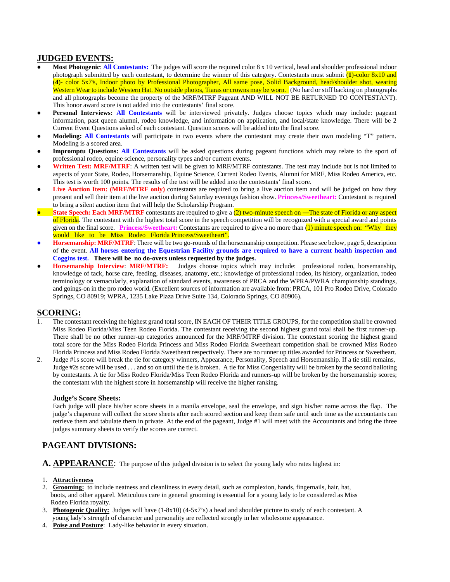#### **JUDGED EVENTS:**

- **Most Photogenic: All Contestants:** The judges will score the required color 8 x 10 vertical, head and shoulder professional indoor photograph submitted by each contestant, to determine the winner of this category. Contestants must submit (**1**)-color 8x10 and (**4**)- color 5x7's, Indoor photo by Professional Photographer, All same pose, Solid Background, head/shoulder shot, wearing Western Wear to include Western Hat. No outside photos, Tiaras or crowns may be worn. (No hard or stiff backing on photographs and all photographs become the property of the MRF/MTRF Pageant AND WILL NOT BE RETURNED TO CONTESTANT). This honor award score is not added into the contestants' final score.
- **Personal Interviews: All Contestants** will be interviewed privately. Judges choose topics which may include: pageant information, past queen alumni, rodeo knowledge, and information on application, and local/state knowledge. There will be 2 Current Event Questions asked of each contestant. Question scores will be added into the final score.
- **Modeling: All Contestants** will participate in two events where the contestant may create their own modeling "T" pattern. Modeling is a scored area.
- **Impromptu Questions:** All **Contestants** will be asked questions during pageant functions which may relate to the sport of professional rodeo, equine science, personality types and/or current events.
- Written Test: MRF/MTRF: A written test will be given to MRF/MTRF contestants. The test may include but is not limited to aspects of your State, Rodeo, Horsemanship, Equine Science, Current Rodeo Events, Alumni for MRF, Miss Rodeo America, etc. This test is worth 100 points. The results of the test will be added into the contestants' final score.
- **Live Auction Item: (MRF/MTRF** only) contestants are required to bring a live auction item and will be judged on how they present and sell their item at the live auction during Saturday evenings fashion show. **Princess/Sweetheart:** Contestant is required to bring a silent auction item that will help the Scholarship Program.
- **State Speech: Each MRF/MTRF** contestants are required to give a (2) two-minute speech on —The state of Florida or any aspect of Florida. The contestant with the highest total score in the speech competition will be recognized with a special award and points given on the final score. **Princess/Sweetheart:** Contestants are required to give a no more than (1) minute speech on: "Why they would like to be Miss Rodeo Florida Princess/Sweetheart".
- **Horsemanship: MRF/MTRF**: There will be two go-rounds of the horsemanship competition. Please see below, page 5, description of the event. All horses entering the Equestrian Facility grounds are required to have a current health inspection and **Coggins test. There will be no do-overs unless requested by the judges.<br>Horsemanship Interview: MRF/MTRF:** Judges choose topics which
- **Judges** choose topics which may include: professional rodeo, horsemanship, knowledge of tack, horse care, feeding, diseases, anatomy, etc.; knowledge of professional rodeo, its history, organization, rodeo terminology or vernacularly, explanation of standard events, awareness of PRCA and the WPRA/PWRA championship standings, and goings-on in the pro rodeo world. (Excellent sources of information are available from: PRCA, 101 Pro Rodeo Drive, Colorado Springs, CO 80919; WPRA, 1235 Lake Plaza Drive Suite 134, Colorado Springs, CO 80906).

#### **SCORING:**

- 1. The contestant receiving the highest grand total score, IN EACH OF THEIR TITLE GROUPS, for the competition shall be crowned Miss Rodeo Florida/Miss Teen Rodeo Florida. The contestant receiving the second highest grand total shall be first runner-up. There shall be no other runner-up categories announced for the MRF/MTRF division. The contestant scoring the highest grand total score for the Miss Rodeo Florida Princess and Miss Rodeo Florida Sweetheart competition shall be crowned Miss Rodeo Florida Princess and Miss Rodeo Florida Sweetheart respectively. There are no runner up titles awarded for Princess or Sweetheart.
- 2. Judge #1s score will break the tie for category winners, Appearance, Personality, Speech and Horsemanship. If a tie still remains, Judge #2s score will be used . . . and so on until the tie is broken. A tie for Miss Congeniality will be broken by the second balloting by contestants. A tie for Miss Rodeo Florida/Miss Teen Rodeo Florida and runners-up will be broken by the horsemanship scores; the contestant with the highest score in horsemanship will receive the higher ranking.

#### **Judge's Score Sheets:**

Each judge will place his/her score sheets in a manila envelope, seal the envelope, and sign his/her name across the flap. The judge's chaperone will collect the score sheets after each scored section and keep them safe until such time as the accountants can retrieve them and tabulate them in private. At the end of the pageant, Judge #1 will meet with the Accountants and bring the three judges summary sheets to verify the scores are correct.

#### **PAGEANT DIVISIONS:**

- **A. APPEARANCE**: The purpose of this judged division is to select the young lady who rates highest in:
- 1. **Attractiveness**
- 2. **Grooming:** to include neatness and cleanliness in every detail, such as complexion, hands, fingernails, hair, hat, boots, and other apparel. Meticulous care in general grooming is essential for a young lady to be considered as Miss Rodeo Florida royalty.
- 3. **Photogenic Quality:** Judges will have (1-8x10) (4-5x7's) a head and shoulder picture to study of each contestant. A young lady's strength of character and personality are reflected strongly in her wholesome appearance.
- 4. **Poise and Posture**: Lady-like behavior in every situation.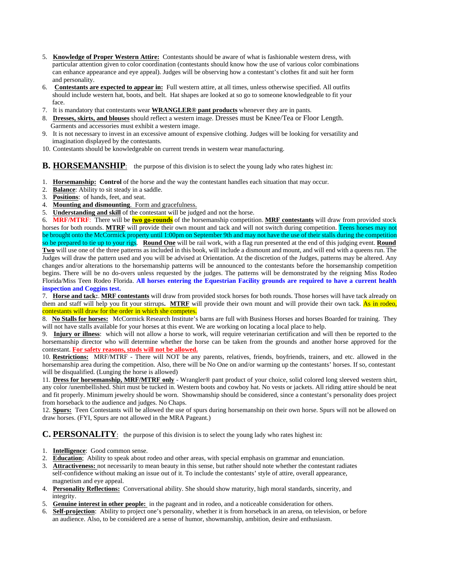- 5. **Knowledge of Proper Western Attire:** Contestants should be aware of what is fashionable western dress, with particular attention given to color coordination (contestants should know how the use of various color combinations can enhance appearance and eye appeal). Judges will be observing how a contestant's clothes fit and suit her form and personality.
- 6. **Contestants are expected to appear in:** Full western attire, at all times, unless otherwise specified. All outfits should include western hat, boots, and belt. Hat shapes are looked at so go to someone knowledgeable to fit your face.
- 7. It is mandatory that contestants wear **WRANGLER® pant products** whenever they are in pants.
- 8. **Dresses, skirts, and blouses** should reflect a western image. Dresses must be Knee/Tea or Floor Length. Garments and accessories must exhibit a western image.
- 9. It is not necessary to invest in an excessive amount of expensive clothing. Judges will be looking for versatility and imagination displayed by the contestants.
- 10. Contestants should be knowledgeable on current trends in western wear manufacturing.

**B. HORSEMANSHIP**: the purpose of this division is to select the young lady who rates highest in:

- 1. **Horsemanship: Control** of the horse and the way the contestant handles each situation that may occur.
- 2. **Balance**: Ability to sit steady in a saddle.
- 3. **Positions**: of hands, feet, and seat.
- 4. **Mounting and dismounting**. Form and gracefulness.
- 5. **Understanding and skill** of the contestant will be judged and not the horse.

6. **MRF/MTRF**: There will be **two go-rounds** of the horsemanship competition. **MRF contestants** will draw from provided stock horses for both rounds. **MTRF** will provide their own mount and tack and will not switch during competition. Teens horses may not be brought onto the McCormick property until 1:00pm on September 9th and may not have the use of their stalls during the competition so be prepared to tie up to your rigs. **Round One** will be rail work, with a flag run presented at the end of this judging event. **Round Two** will use one of the three patterns as included in this book, will include a dismount and mount, and will end with a queens run. The Judges will draw the pattern used and you will be advised at Orientation. At the discretion of the Judges, patterns may be altered. Any changes and/or alterations to the horsemanship patterns will be announced to the contestants before the horsemanship competition begins. There will be no do-overs unless requested by the judges. The patterns will be demonstrated by the reigning Miss Rodeo Florida/Miss Teen Rodeo Florida. **All horses entering the Equestrian Facility grounds are required to have a current health inspection and Coggins test.**

7. **Horse and tack:**. **MRF contestants** will draw from provided stock horses for both rounds. Those horses will have tack already on them and staff will help you fit your stirrups**. MTRF** will provide their own mount and will provide their own tack. As in rodeo, contestants will draw for the order in which she competes.

8. **No Stalls for horses:** McCormick Research Institute's barns are full with Business Horses and horses Boarded for training. They will not have stalls available for your horses at this event. We are working on locating a local place to help.

9. **Injury or illness**: which will not allow a horse to work, will require veterinarian certification and will then be reported to the horsemanship director who will determine whether the horse can be taken from the grounds and another horse approved for the contestant. **For safety reasons, studs will not be allowed.**

10. **Restrictions:** MRF/MTRF - There will NOT be any parents, relatives, friends, boyfriends, trainers, and etc. allowed in the horsemanship area during the competition. Also, there will be No One on and/or warming up the contestants' horses. If so, contestant will be disqualified. (Lunging the horse is allowed)

11. **Dress for horsemanship, MRF/MTRF only** - Wrangler® pant product of your choice, solid colored long sleeved western shirt, any color /unembellished. Shirt must be tucked in. Western boots and cowboy hat. No vests or jackets. All riding attire should be neat and fit properly. Minimum jewelry should be worn. Showmanship should be considered, since a contestant's personality does project from horseback to the audience and judges. No Chaps.

12. **Spurs:** Teen Contestants will be allowed the use of spurs during horsemanship on their own horse. Spurs will not be allowed on draw horses. (FYI, Spurs are not allowed in the MRA Pageant.)

**C. PERSONALITY**: the purpose of this division is to select the young lady who rates highest in:

- 1. **Intelligence**: Good common sense.
- 2. **Education**; Ability to speak about rodeo and other areas, with special emphasis on grammar and enunciation.
- 3. **Attractiveness:** not necessarily to mean beauty in this sense, but rather should note whether the contestant radiates self-confidence without making an issue out of it. To include the contestants' style of attire, overall appearance, magnetism and eye appeal.
- 4. **Personality Reflections:** Conversational ability. She should show maturity, high moral standards, sincerity, and integrity.
- 5. **Genuine interest in other people:** in the pageant and in rodeo, and a noticeable consideration for others.
- 6. **Self-projection**: Ability to project one's personality, whether it is from horseback in an arena, on television, or before an audience. Also, to be considered are a sense of humor, showmanship, ambition, desire and enthusiasm.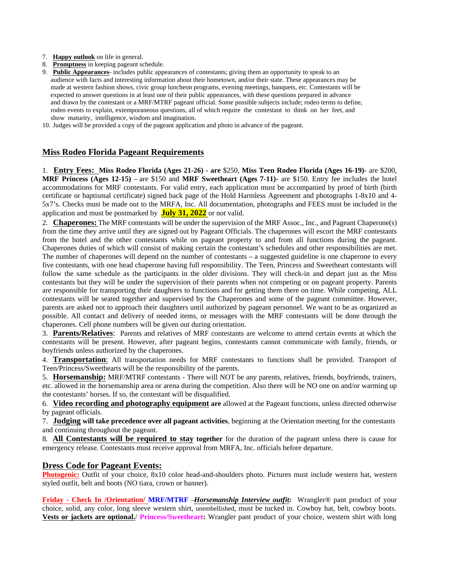- 7. **Happy outlook** on life in general.
- 8. **Promptness** in keeping pageant schedule.
- 9. **Public Appearances** includes public appearances of contestants; giving them an opportunity to speak to an audience with facts and interesting information about their hometown, and/or their state. These appearances may be made at western fashion shows, civic group luncheon programs, evening meetings, banquets, etc. Contestants will be expected to answer questions in at least one of their public appearances, with these questions prepared in advance and drawn by the contestant or a MRF/MTRF pageant official. Some possible subjects include; rodeo terms to define, rodeo events to explain, extemporaneous questions, all of which require the contestant to think on her feet, and show maturity, intelligence, wisdom and imagination.
- 10. Judges will be provided a copy of the pageant application and photo in advance of the pageant.

#### **Miss Rodeo Florida Pageant Requirements**

1. **Entry Fees: Miss Rodeo Florida (Ages 21-26) - are** \$250, **Miss Teen Rodeo Florida (Ages 16-19)**- are \$200, **MRF Princess (Ages 12-15)** – are \$150 and **MRF Sweetheart (Ages 7-11)-** are \$150. Entry fee includes the hotel accommodations for MRF contestants. For valid entry, each application must be accompanied by proof of birth (birth certificate or baptismal certificate) signed back page of the Hold Harmless Agreement and photographs 1-8x10 and 4- 5x7's. Checks must be made out to the MRFA, Inc. All documentation, photographs and FEES must be included in the application and must be postmarked by **July 31, 2022** or not valid.

2. **Chaperones:** The MRF contestants will be under the supervision of the MRF Assoc., Inc., and Pageant Chaperone(s) from the time they arrive until they are signed out by Pageant Officials. The chaperones will escort the MRF contestants from the hotel and the other contestants while on pageant property to and from all functions during the pageant. Chaperones duties of which will consist of making certain the contestant's schedules and other responsibilities are met. The number of chaperones will depend on the number of contestants – a suggested guideline is one chaperone to every five contestants, with one head chaperone having full responsibility. The Teen, Princess and Sweetheart contestants will follow the same schedule as the participants in the older divisions. They will check-in and depart just as the Miss contestants but they will be under the supervision of their parents when not competing or on pageant property. Parents are responsible for transporting their daughters to functions and for getting them there on time. While competing, ALL contestants will be seated together and supervised by the Chaperones and some of the pageant committee. However, parents are asked not to approach their daughters until authorized by pageant personnel. We want to be as organized as possible. All contact and delivery of needed items, or messages with the MRF contestants will be done through the chaperones. Cell phone numbers will be given out during orientation.

3. **Parents/Relatives**: Parents and relatives of MRF contestants are welcome to attend certain events at which the contestants will be present. However, after pageant begins, contestants cannot communicate with family, friends, or boyfriends unless authorized by the chaperones.

4. **Transportation**: All transportation needs for MRF contestants to functions shall be provided. Transport of Teen/Princess/Sweethearts will be the responsibility of the parents.

5. **Horsemanship:** MRF/MTRF contestants - There will NOT be any parents, relatives, friends, boyfriends, trainers, etc. allowed in the horsemanship area or arena during the competition. Also there will be NO one on and/or warming up the contestants' horses. If so, the contestant will be disqualified.

6. **Video recording and photography equipment are** allowed at the Pageant functions, unless directed otherwise by pageant officials.

7. **Judging will take precedence over all pageant activities**, beginning at the Orientation meeting for the contestants and continuing throughout the pageant.

8. **All Contestants will be required to stay together** for the duration of the pageant unless there is cause for emergency release. Contestants must receive approval from MRFA, Inc. officials before departure.

#### **Dress Code for Pageant Events:**

**Photogenic:** Outfit of your choice,  $8x10$  color head-and-shoulders photo. Pictures must include western hat, western styled outfit, belt and boots (NO tiara, crown or banner).

**Friday - Check In /Orientation/ MRF/MTRF** –*Horsemanship Interview outfit:* Wrangler® pant product of your choice, solid, any color, long sleeve western shirt, unembellished, must be tucked in. Cowboy hat, belt, cowboy boots. **Vests or jackets are optional.**/ **Princess/Sweetheart:** Wrangler pant product of your choice, western shirt with long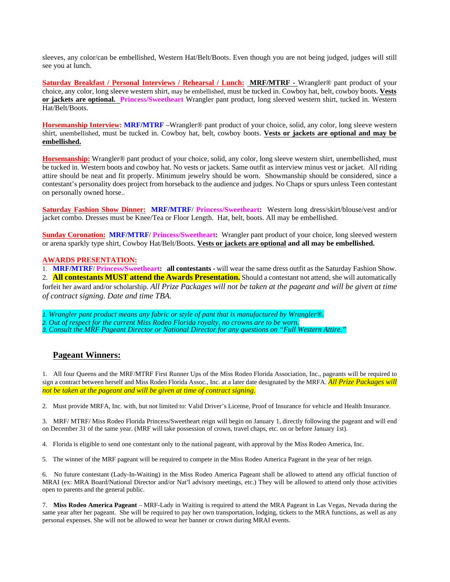sleeves, any color/can be embellished, Western Hat/Belt/Boots. Even though you are not being judged, judges will still see you at lunch.

**Saturday Breakfast / Personal Interviews / Rehearsal / Lunch: MRF/MTRF -** Wrangler® pant product of your choice, any color, long sleeve western shirt, may be embellished, must be tucked in. Cowboy hat, belt, cowboy boots. **Vests or jackets are optional. Princess/Sweetheart** Wrangler pant product, long sleeved western shirt, tucked in. Western Hat/Belt/Boots.

**Horsemanship Interview: MRF/MTRF** –Wrangler® pant product of your choice, solid, any color, long sleeve western shirt, unembellished, must be tucked in. Cowboy hat, belt, cowboy boots. **Vests or jackets are optional and may be embellished.**

**Horsemanship:** Wrangler® pant product of your choice, solid, any color, long sleeve western shirt, unembellished, must be tucked in. Western boots and cowboy hat. No vests or jackets. Same outfit as interview minus vest or jacket. All riding attire should be neat and fit properly. Minimum jewelry should be worn. Showmanship should be considered, since a contestant's personality does project from horseback to the audience and judges. No Chaps or spurs unless Teen contestant on personally owned horse..

**Saturday Fashion Show Dinner: MRF/MTRF**/ **Princess/Sweetheart:** Western long dress/skirt/blouse/vest and/or jacket combo. Dresses must be Knee/Tea or Floor Length. Hat, belt, boots. All may be embellished.

**Sunday Coronation: MRF/MTRF**/ **Princess/Sweetheart:** Wrangler pant product of your choice, long sleeved western or arena sparkly type shirt, Cowboy Hat/Belt/Boots. **Vests or jackets are optional and all may be embellished.**

#### **AWARDS PRESENTATION:**

1. **MRF/MTRF**/ **Princess/Sweetheart: all contestants -** will wear the same dress outfit as the Saturday Fashion Show. 2. **All contestants MUST attend the Awards Presentation.**Should a contestant not attend, she will automatically forfeit her award and/or scholarship. *All Prize Packages will not be taken at the pageant and will be given at time of contract signing. Date and time TBA.*

*1. Wrangler pant product means any fabric or style of pant that is manufactured by Wrangler®. 2. Out of respect for the current Miss Rodeo Florida royalty, no crowns are to be worn. 3. Consult the MRF Pageant Director or National Director for any questions on "Full Western Attire."*

#### **Pageant Winners:**

1. All four Queens and the MRF/MTRF First Runner Ups of the Miss Rodeo Florida Association, Inc., pageants will be required to sign a contract between herself and Miss Rodeo Florida Assoc., Inc. at a later date designated by the MRFA. *All Prize Packages will not be taken at the pageant and will be given at time of contract signing.*

2. Must provide MRFA, Inc. with, but not limited to: Valid Driver's License, Proof of Insurance for vehicle and Health Insurance.

3. MRF/ MTRF/ Miss Rodeo Florida Princess/Sweetheart reign will begin on January 1, directly following the pageant and will end on December 31 of the same year. (MRF will take possession of crown, travel chaps, etc. on or before January 1st).

4. Florida is eligible to send one contestant only to the national pageant, with approval by the Miss Rodeo America, Inc.

5. The winner of the MRF pageant will be required to compete in the Miss Rodeo America Pageant in the year of her reign.

6. No future contestant (Lady-In-Waiting) in the Miss Rodeo America Pageant shall be allowed to attend any official function of MRAI (ex: MRA Board/National Director and/or Nat'l advisory meetings, etc.) They will be allowed to attend only those activities open to parents and the general public.

7. **Miss Rodeo America Pageant** – MRF-Lady in Waiting is required to attend the MRA Pageant in Las Vegas, Nevada during the same year after her pageant. She will be required to pay her own transportation, lodging, tickets to the MRA functions, as well as any personal expenses. She will not be allowed to wear her banner or crown during MRAI events.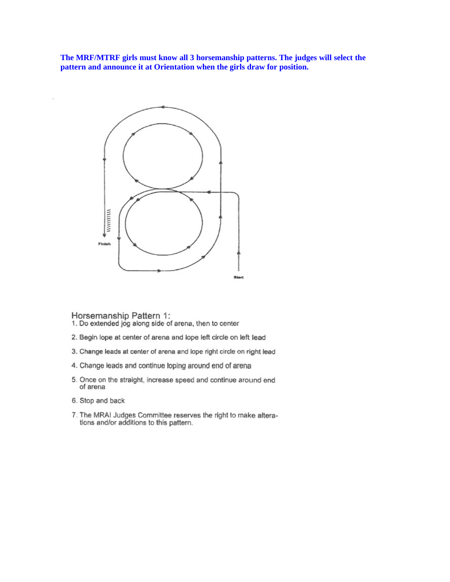The MRF/MTRF girls must know all 3 horsemanship patterns. The judges will select the pattern and announce it at Orientation when the girls draw for position.



- Horsemanship Pattern 1:<br>1. Do extended jog along side of arena, then to center
- 2. Begin lope at center of arena and lope left circle on left lead
- 3. Change leads at center of arena and lope right circle on right lead
- 4. Change leads and continue loping around end of arena
- 5. Once on the straight, increase speed and continue around end of arena
- 6. Stop and back
- 7. The MRAI Judges Committee reserves the right to make alterations and/or additions to this pattern.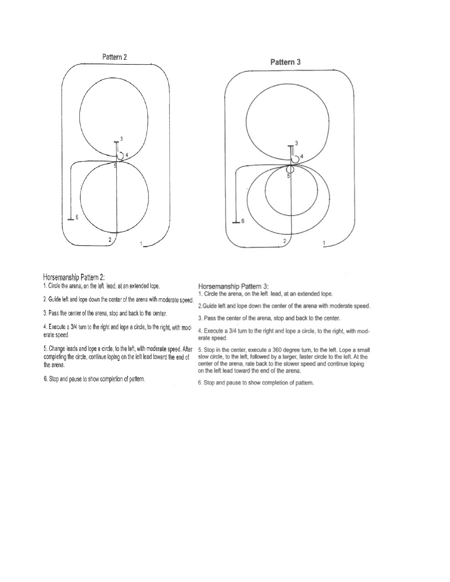



1. Circle the arena, on the left lead, at an extended lope.

2. Guide left and lope down the center of the arena with moderate speed.

3. Pass the center of the arena, stop and back to the center.

4. Execute a 3/4 turn to the right and lope a circle, to the right, with moderate speed.

5. Change leads and lope a circle, to the left, with moderate speed. After completing the circle, continue loping on the left lead toward the end of the arena.

6. Stop and pause to show completion of pattern.



#### Horsemanship Pattern 3:

1. Circle the arena, on the left lead, at an extended lope.

2. Guide left and lope down the center of the arena with moderate speed.

3. Pass the center of the arena, stop and back to the center.

4. Execute a 3/4 turn to the right and lope a circle, to the right, with moderate speed.

5. Stop in the center, execute a 360 degree turn, to the left. Lope a small slow circle, to the left, followed by a larger, faster circle to the left. At the center of the arena, rate back to the slower speed and continue loping on the left lead toward the end of the arena.

6. Stop and pause to show completion of pattern.